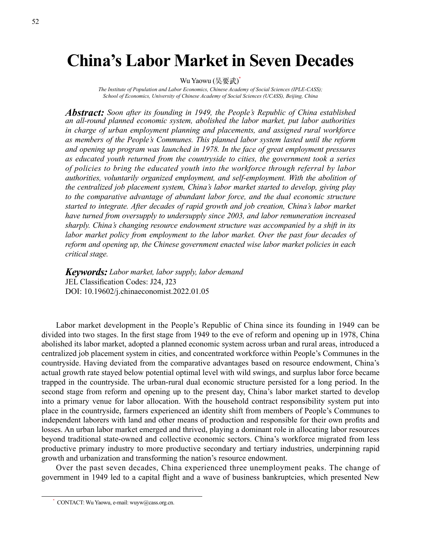# **China's Labor Market in Seven Decades**

Wu Yaowu (吴要武)<sup>\*</sup>

*The Institute of Population and Labor Economics, Chinese Academy of Social Sciences (IPLE-CASS); School of Economics, University of Chinese Academy of Social Sciences (UCASS), Beijing, China*

*Abstract: Soon after its founding in 1949, the People's Republic of China established an all-round planned economic system, abolished the labor market, put labor authorities in charge of urban employment planning and placements, and assigned rural workforce as members of the People's Communes. This planned labor system lasted until the reform and opening up program was launched in 1978. In the face of great employment pressures as educated youth returned from the countryside to cities, the government took a series of policies to bring the educated youth into the workforce through referral by labor authorities, voluntarily organized employment, and self-employment. With the abolition of the centralized job placement system, China's labor market started to develop, giving play to the comparative advantage of abundant labor force, and the dual economic structure started to integrate. After decades of rapid growth and job creation, China's labor market have turned from oversupply to undersupply since 2003, and labor remuneration increased sharply. China's changing resource endowment structure was accompanied by a shift in its labor market policy from employment to the labor market. Over the past four decades of reform and opening up, the Chinese government enacted wise labor market policies in each critical stage.*

*Keywords: Labor market, labor supply, labor demand* JEL Classification Codes: J24, J23 DOI: 10.19602/j.chinaeconomist.2022.01.05

Labor market development in the People's Republic of China since its founding in 1949 can be divided into two stages. In the first stage from 1949 to the eve of reform and opening up in 1978, China abolished its labor market, adopted a planned economic system across urban and rural areas, introduced a centralized job placement system in cities, and concentrated workforce within People's Communes in the countryside. Having deviated from the comparative advantages based on resource endowment, China's actual growth rate stayed below potential optimal level with wild swings, and surplus labor force became trapped in the countryside. The urban-rural dual economic structure persisted for a long period. In the second stage from reform and opening up to the present day, China's labor market started to develop into a primary venue for labor allocation. With the household contract responsibility system put into place in the countryside, farmers experienced an identity shift from members of People's Communes to independent laborers with land and other means of production and responsible for their own profits and losses. An urban labor market emerged and thrived, playing a dominant role in allocating labor resources beyond traditional state-owned and collective economic sectors. China's workforce migrated from less productive primary industry to more productive secondary and tertiary industries, underpinning rapid growth and urbanization and transforming the nation's resource endowment.

Over the past seven decades, China experienced three unemployment peaks. The change of government in 1949 led to a capital flight and a wave of business bankruptcies, which presented New

CONTACT: Wu Yaowu, e-mail: wuyw@cass.org.cn.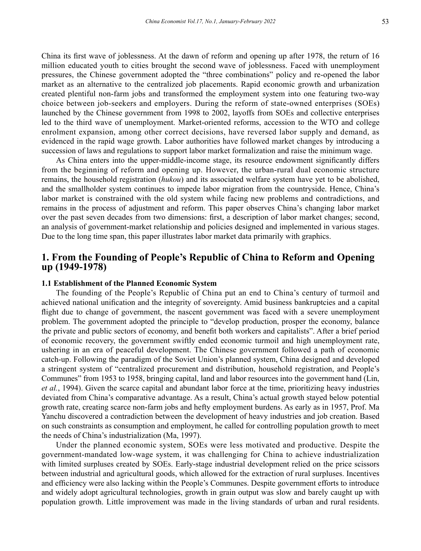China its first wave of joblessness. At the dawn of reform and opening up after 1978, the return of 16 million educated youth to cities brought the second wave of joblessness. Faced with unemployment pressures, the Chinese government adopted the "three combinations" policy and re-opened the labor market as an alternative to the centralized job placements. Rapid economic growth and urbanization created plentiful non-farm jobs and transformed the employment system into one featuring two-way choice between job-seekers and employers. During the reform of state-owned enterprises (SOEs) launched by the Chinese government from 1998 to 2002, layoffs from SOEs and collective enterprises led to the third wave of unemployment. Market-oriented reforms, accession to the WTO and college enrolment expansion, among other correct decisions, have reversed labor supply and demand, as evidenced in the rapid wage growth. Labor authorities have followed market changes by introducing a succession of laws and regulations to support labor market formalization and raise the minimum wage.

As China enters into the upper-middle-income stage, its resource endowment significantly differs from the beginning of reform and opening up. However, the urban-rural dual economic structure remains, the household registration (*hukou*) and its associated welfare system have yet to be abolished, and the smallholder system continues to impede labor migration from the countryside. Hence, China's labor market is constrained with the old system while facing new problems and contradictions, and remains in the process of adjustment and reform. This paper observes China's changing labor market over the past seven decades from two dimensions: first, a description of labor market changes; second, an analysis of government-market relationship and policies designed and implemented in various stages. Due to the long time span, this paper illustrates labor market data primarily with graphics.

## **1. From the Founding of People's Republic of China to Reform and Opening up (1949-1978)**

#### **1.1 Establishment of the Planned Economic System**

The founding of the People's Republic of China put an end to China's century of turmoil and achieved national unification and the integrity of sovereignty. Amid business bankruptcies and a capital flight due to change of government, the nascent government was faced with a severe unemployment problem. The government adopted the principle to "develop production, prosper the economy, balance the private and public sectors of economy, and benefit both workers and capitalists". After a brief period of economic recovery, the government swiftly ended economic turmoil and high unemployment rate, ushering in an era of peaceful development. The Chinese government followed a path of economic catch-up. Following the paradigm of the Soviet Union's planned system, China designed and developed a stringent system of "centralized procurement and distribution, household registration, and People's Communes" from 1953 to 1958, bringing capital, land and labor resources into the government hand (Lin, *et al.*, 1994). Given the scarce capital and abundant labor force at the time, prioritizing heavy industries deviated from China's comparative advantage. As a result, China's actual growth stayed below potential growth rate, creating scarce non-farm jobs and hefty employment burdens. As early as in 1957, Prof. Ma Yanchu discovered a contradiction between the development of heavy industries and job creation. Based on such constraints as consumption and employment, he called for controlling population growth to meet the needs of China's industrialization (Ma, 1997).

Under the planned economic system, SOEs were less motivated and productive. Despite the government-mandated low-wage system, it was challenging for China to achieve industrialization with limited surpluses created by SOEs. Early-stage industrial development relied on the price scissors between industrial and agricultural goods, which allowed for the extraction of rural surpluses. Incentives and efficiency were also lacking within the People's Communes. Despite government efforts to introduce and widely adopt agricultural technologies, growth in grain output was slow and barely caught up with population growth. Little improvement was made in the living standards of urban and rural residents.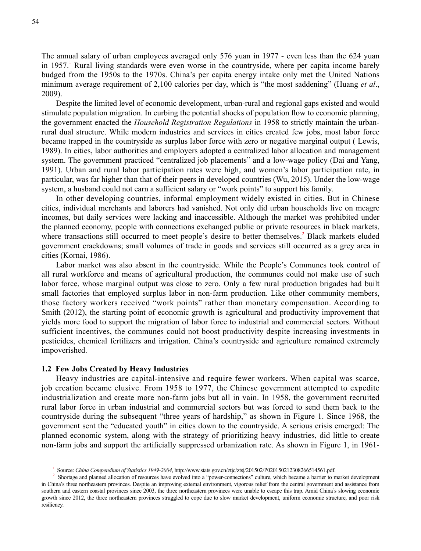The annual salary of urban employees averaged only 576 yuan in 1977 - even less than the 624 yuan in 1957.<sup>1</sup> Rural living standards were even worse in the countryside, where per capita income barely budged from the 1950s to the 1970s. China's per capita energy intake only met the United Nations minimum average requirement of 2,100 calories per day, which is "the most saddening" (Huang *et al*., 2009).

Despite the limited level of economic development, urban-rural and regional gaps existed and would stimulate population migration. In curbing the potential shocks of population flow to economic planning, the government enacted the *Household Registration Regulations* in 1958 to strictly maintain the urbanrural dual structure. While modern industries and services in cities created few jobs, most labor force became trapped in the countryside as surplus labor force with zero or negative marginal output ( Lewis, 1989). In cities, labor authorities and employers adopted a centralized labor allocation and management system. The government practiced "centralized job placements" and a low-wage policy (Dai and Yang, 1991). Urban and rural labor participation rates were high, and women's labor participation rate, in particular, was far higher than that of their peers in developed countries (Wu, 2015). Under the low-wage system, a husband could not earn a sufficient salary or "work points" to support his family.

In other developing countries, informal employment widely existed in cities. But in Chinese cities, individual merchants and laborers had vanished. Not only did urban households live on meagre incomes, but daily services were lacking and inaccessible. Although the market was prohibited under the planned economy, people with connections exchanged public or private resources in black markets, where transactions still occurred to meet people's desire to better themselves.<sup>2</sup> Black markets eluded government crackdowns; small volumes of trade in goods and services still occurred as a grey area in cities (Kornai, 1986).

Labor market was also absent in the countryside. While the People's Communes took control of all rural workforce and means of agricultural production, the communes could not make use of such labor force, whose marginal output was close to zero. Only a few rural production brigades had built small factories that employed surplus labor in non-farm production. Like other community members, those factory workers received "work points" rather than monetary compensation. According to Smith (2012), the starting point of economic growth is agricultural and productivity improvement that yields more food to support the migration of labor force to industrial and commercial sectors. Without sufficient incentives, the communes could not boost productivity despite increasing investments in pesticides, chemical fertilizers and irrigation. China's countryside and agriculture remained extremely impoverished.

#### **1.2 Few Jobs Created by Heavy Industries**

Heavy industries are capital-intensive and require fewer workers. When capital was scarce, job creation became elusive. From 1958 to 1977, the Chinese government attempted to expedite industrialization and create more non-farm jobs but all in vain. In 1958, the government recruited rural labor force in urban industrial and commercial sectors but was forced to send them back to the countryside during the subsequent "three years of hardship," as shown in Figure 1. Since 1968, the government sent the "educated youth" in cities down to the countryside. A serious crisis emerged: The planned economic system, along with the strategy of prioritizing heavy industries, did little to create non-farm jobs and support the artificially suppressed urbanization rate. As shown in Figure 1, in 1961-

<sup>1</sup> Source: *China Compendium of Statistics 1949-2004*, http://www.stats.gov.cn/ztjc/ztsj/201502/P020150212308266514561.pdf.

<sup>&</sup>lt;sup>2</sup> Shortage and planned allocation of resources have evolved into a "power-connections" culture, which became a barrier to market development in China's three northeastern provinces. Despite an improving external environment, vigorous relief from the central government and assistance from southern and eastern coastal provinces since 2003, the three northeastern provinces were unable to escape this trap. Amid China's slowing economic growth since 2012, the three northeastern provinces struggled to cope due to slow market development, uniform economic structure, and poor risk resiliency.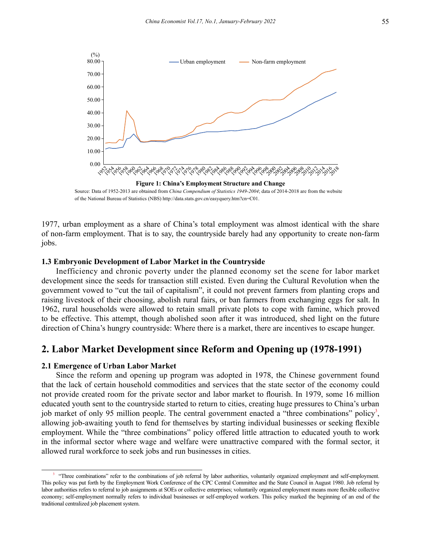

of the National Bureau of Statistics (NBS) http://data.stats.gov.cn/easyquery.htm?cn=C01.

1977, urban employment as a share of China's total employment was almost identical with the share of non-farm employment. That is to say, the countryside barely had any opportunity to create non-farm jobs.

#### **1.3 Embryonic Development of Labor Market in the Countryside**

Inefficiency and chronic poverty under the planned economy set the scene for labor market development since the seeds for transaction still existed. Even during the Cultural Revolution when the government vowed to "cut the tail of capitalism", it could not prevent farmers from planting crops and raising livestock of their choosing, abolish rural fairs, or ban farmers from exchanging eggs for salt. In 1962, rural households were allowed to retain small private plots to cope with famine, which proved to be effective. This attempt, though abolished soon after it was introduced, shed light on the future direction of China's hungry countryside: Where there is a market, there are incentives to escape hunger.

## **2. Labor Market Development since Reform and Opening up (1978-1991)**

#### **2.1 Emergence of Urban Labor Market**

Since the reform and opening up program was adopted in 1978, the Chinese government found that the lack of certain household commodities and services that the state sector of the economy could not provide created room for the private sector and labor market to flourish. In 1979, some 16 million educated youth sent to the countryside started to return to cities, creating huge pressures to China's urban job market of only 95 million people. The central government enacted a "three combinations" policy<sup>3</sup>, allowing job-awaiting youth to fend for themselves by starting individual businesses or seeking flexible employment. While the "three combinations" policy offered little attraction to educated youth to work in the informal sector where wage and welfare were unattractive compared with the formal sector, it allowed rural workforce to seek jobs and run businesses in cities.

<sup>3 &</sup>quot;Three combinations" refer to the combinations of job referral by labor authorities, voluntarily organized employment and self-employment. This policy was put forth by the Employment Work Conference of the CPC Central Committee and the State Council in August 1980. Job referral by labor authorities refers to referral to job assignments at SOEs or collective enterprises; voluntarily organized employment means more flexible collective economy; self-employment normally refers to individual businesses or self-employed workers. This policy marked the beginning of an end of the traditional centralized job placement system.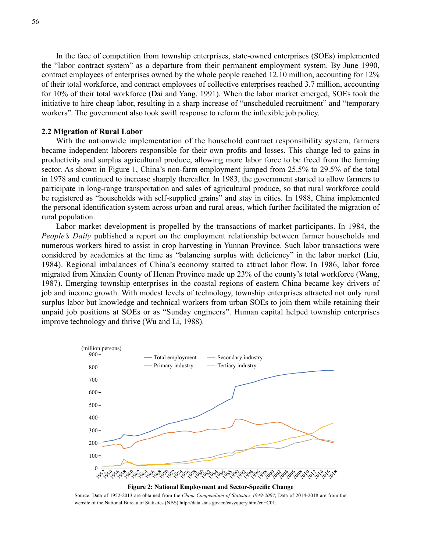In the face of competition from township enterprises, state-owned enterprises (SOEs) implemented the "labor contract system" as a departure from their permanent employment system. By June 1990, contract employees of enterprises owned by the whole people reached 12.10 million, accounting for 12% of their total workforce, and contract employees of collective enterprises reached 3.7 million, accounting for 10% of their total workforce (Dai and Yang, 1991). When the labor market emerged, SOEs took the initiative to hire cheap labor, resulting in a sharp increase of "unscheduled recruitment" and "temporary workers". The government also took swift response to reform the inflexible job policy.

#### **2.2 Migration of Rural Labor**

With the nationwide implementation of the household contract responsibility system, farmers became independent laborers responsible for their own profits and losses. This change led to gains in productivity and surplus agricultural produce, allowing more labor force to be freed from the farming sector. As shown in Figure 1, China's non-farm employment jumped from 25.5% to 29.5% of the total in 1978 and continued to increase sharply thereafter. In 1983, the government started to allow farmers to participate in long-range transportation and sales of agricultural produce, so that rural workforce could be registered as "households with self-supplied grains" and stay in cities. In 1988, China implemented the personal identification system across urban and rural areas, which further facilitated the migration of rural population.

Labor market development is propelled by the transactions of market participants. In 1984, the *People's Daily* published a report on the employment relationship between farmer households and numerous workers hired to assist in crop harvesting in Yunnan Province. Such labor transactions were considered by academics at the time as "balancing surplus with deficiency" in the labor market (Liu, 1984). Regional imbalances of China's economy started to attract labor flow. In 1986, labor force migrated from Xinxian County of Henan Province made up 23% of the county's total workforce (Wang, 1987). Emerging township enterprises in the coastal regions of eastern China became key drivers of job and income growth. With modest levels of technology, township enterprises attracted not only rural surplus labor but knowledge and technical workers from urban SOEs to join them while retaining their unpaid job positions at SOEs or as "Sunday engineers". Human capital helped township enterprises improve technology and thrive (Wu and Li, 1988).



Source: Data of 1952-2013 are obtained from the *China Compendium of Statistics 1949-2004*; Data of 2014-2018 are from the website of the National Bureau of Statistics (NBS) http://data.stats.gov.cn/easyquery.htm?cn=C01.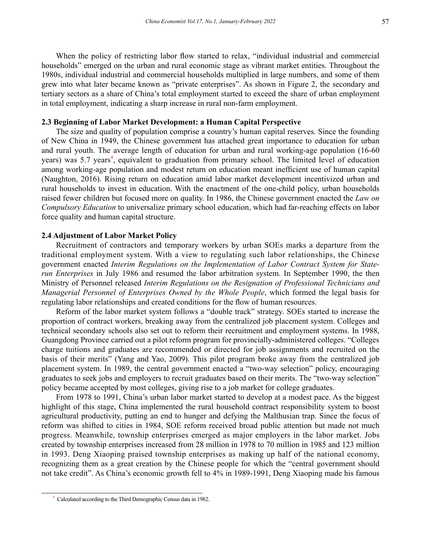When the policy of restricting labor flow started to relax, "individual industrial and commercial households" emerged on the urban and rural economic stage as vibrant market entities. Throughout the 1980s, individual industrial and commercial households multiplied in large numbers, and some of them grew into what later became known as "private enterprises". As shown in Figure 2, the secondary and tertiary sectors as a share of China's total employment started to exceed the share of urban employment in total employment, indicating a sharp increase in rural non-farm employment.

#### **2.3 Beginning of Labor Market Development: a Human Capital Perspective**

The size and quality of population comprise a country's human capital reserves. Since the founding of New China in 1949, the Chinese government has attached great importance to education for urban and rural youth. The average length of education for urban and rural working-age population (16-60 years) was 5.7 years<sup>4</sup>, equivalent to graduation from primary school. The limited level of education among working-age population and modest return on education meant inefficient use of human capital (Naughton, 2016). Rising return on education amid labor market development incentivized urban and rural households to invest in education. With the enactment of the one-child policy, urban households raised fewer children but focused more on quality. In 1986, the Chinese government enacted the *Law on Compulsory Education* to universalize primary school education, which had far-reaching effects on labor force quality and human capital structure.

#### **2.4 Adjustment of Labor Market Policy**

Recruitment of contractors and temporary workers by urban SOEs marks a departure from the traditional employment system. With a view to regulating such labor relationships, the Chinese government enacted *Interim Regulations on the Implementation of Labor Contract System for Staterun Enterprises* in July 1986 and resumed the labor arbitration system. In September 1990, the then Ministry of Personnel released *Interim Regulations on the Resignation of Professional Technicians and Managerial Personnel of Enterprises Owned by the Whole People*, which formed the legal basis for regulating labor relationships and created conditions for the flow of human resources.

Reform of the labor market system follows a "double track" strategy. SOEs started to increase the proportion of contract workers, breaking away from the centralized job placement system. Colleges and technical secondary schools also set out to reform their recruitment and employment systems. In 1988, Guangdong Province carried out a pilot reform program for provincially-administered colleges. "Colleges charge tuitions and graduates are recommended or directed for job assignments and recruited on the basis of their merits" (Yang and Yao, 2009). This pilot program broke away from the centralized job placement system. In 1989, the central government enacted a "two-way selection" policy, encouraging graduates to seek jobs and employers to recruit graduates based on their merits. The "two-way selection" policy became accepted by most colleges, giving rise to a job market for college graduates.

From 1978 to 1991, China's urban labor market started to develop at a modest pace. As the biggest highlight of this stage, China implemented the rural household contract responsibility system to boost agricultural productivity, putting an end to hunger and defying the Malthusian trap. Since the focus of reform was shifted to cities in 1984, SOE reform received broad public attention but made not much progress. Meanwhile, township enterprises emerged as major employers in the labor market. Jobs created by township enterprises increased from 28 million in 1978 to 70 million in 1985 and 123 million in 1993. Deng Xiaoping praised township enterprises as making up half of the national economy, recognizing them as a great creation by the Chinese people for which the "central government should not take credit". As China's economic growth fell to 4% in 1989-1991, Deng Xiaoping made his famous

<sup>4</sup> Calculated according to the Third Demographic Census data in 1982.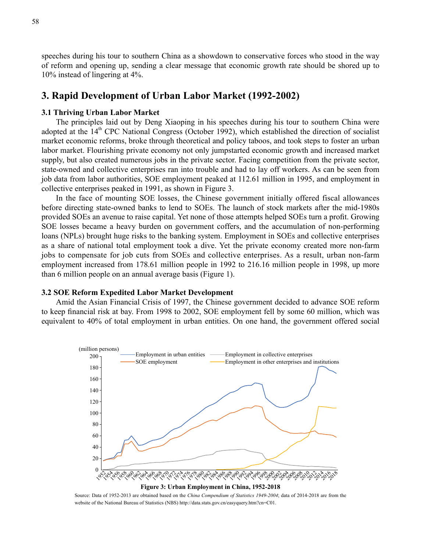speeches during his tour to southern China as a showdown to conservative forces who stood in the way of reform and opening up, sending a clear message that economic growth rate should be shored up to 10% instead of lingering at 4%.

## **3. Rapid Development of Urban Labor Market (1992-2002)**

#### **3.1 Thriving Urban Labor Market**

The principles laid out by Deng Xiaoping in his speeches during his tour to southern China were adopted at the  $14<sup>th</sup>$  CPC National Congress (October 1992), which established the direction of socialist market economic reforms, broke through theoretical and policy taboos, and took steps to foster an urban labor market. Flourishing private economy not only jumpstarted economic growth and increased market supply, but also created numerous jobs in the private sector. Facing competition from the private sector, state-owned and collective enterprises ran into trouble and had to lay off workers. As can be seen from job data from labor authorities, SOE employment peaked at 112.61 million in 1995, and employment in collective enterprises peaked in 1991, as shown in Figure 3.

In the face of mounting SOE losses, the Chinese government initially offered fiscal allowances before directing state-owned banks to lend to SOEs. The launch of stock markets after the mid-1980s provided SOEs an avenue to raise capital. Yet none of those attempts helped SOEs turn a profit. Growing SOE losses became a heavy burden on government coffers, and the accumulation of non-performing loans (NPLs) brought huge risks to the banking system. Employment in SOEs and collective enterprises as a share of national total employment took a dive. Yet the private economy created more non-farm jobs to compensate for job cuts from SOEs and collective enterprises. As a result, urban non-farm employment increased from 178.61 million people in 1992 to 216.16 million people in 1998, up more than 6 million people on an annual average basis (Figure 1).

#### **3.2 SOE Reform Expedited Labor Market Development**

Amid the Asian Financial Crisis of 1997, the Chinese government decided to advance SOE reform to keep financial risk at bay. From 1998 to 2002, SOE employment fell by some 60 million, which was equivalent to 40% of total employment in urban entities. On one hand, the government offered social



Source: Data of 1952-2013 are obtained based on the *China Compendium of Statistics 1949-2004*; data of 2014-2018 are from the website of the National Bureau of Statistics (NBS) http://data.stats.gov.cn/easyquery.htm?cn=C01.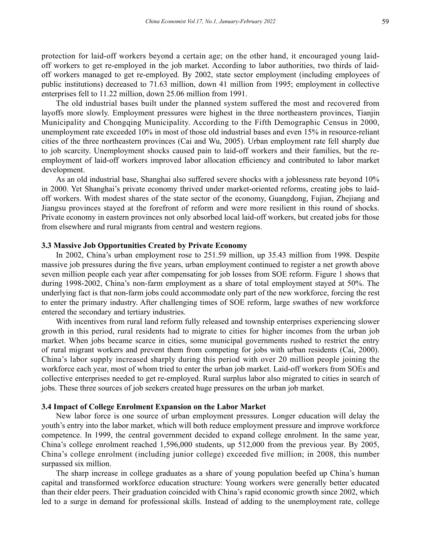protection for laid-off workers beyond a certain age; on the other hand, it encouraged young laidoff workers to get re-employed in the job market. According to labor authorities, two thirds of laidoff workers managed to get re-employed. By 2002, state sector employment (including employees of public institutions) decreased to 71.63 million, down 41 million from 1995; employment in collective enterprises fell to 11.22 million, down 25.06 million from 1991.

The old industrial bases built under the planned system suffered the most and recovered from layoffs more slowly. Employment pressures were highest in the three northeastern provinces, Tianjin Municipality and Chongqing Municipality. According to the Fifth Demographic Census in 2000, unemployment rate exceeded 10% in most of those old industrial bases and even 15% in resource-reliant cities of the three northeastern provinces (Cai and Wu, 2005). Urban employment rate fell sharply due to job scarcity. Unemployment shocks caused pain to laid-off workers and their families, but the reemployment of laid-off workers improved labor allocation efficiency and contributed to labor market development.

As an old industrial base, Shanghai also suffered severe shocks with a joblessness rate beyond 10% in 2000. Yet Shanghai's private economy thrived under market-oriented reforms, creating jobs to laidoff workers. With modest shares of the state sector of the economy, Guangdong, Fujian, Zhejiang and Jiangsu provinces stayed at the forefront of reform and were more resilient in this round of shocks. Private economy in eastern provinces not only absorbed local laid-off workers, but created jobs for those from elsewhere and rural migrants from central and western regions.

#### **3.3 Massive Job Opportunities Created by Private Economy**

In 2002, China's urban employment rose to 251.59 million, up 35.43 million from 1998. Despite massive job pressures during the five years, urban employment continued to register a net growth above seven million people each year after compensating for job losses from SOE reform. Figure 1 shows that during 1998-2002, China's non-farm employment as a share of total employment stayed at 50%. The underlying fact is that non-farm jobs could accommodate only part of the new workforce, forcing the rest to enter the primary industry. After challenging times of SOE reform, large swathes of new workforce entered the secondary and tertiary industries.

With incentives from rural land reform fully released and township enterprises experiencing slower growth in this period, rural residents had to migrate to cities for higher incomes from the urban job market. When jobs became scarce in cities, some municipal governments rushed to restrict the entry of rural migrant workers and prevent them from competing for jobs with urban residents (Cai, 2000). China's labor supply increased sharply during this period with over 20 million people joining the workforce each year, most of whom tried to enter the urban job market. Laid-off workers from SOEs and collective enterprises needed to get re-employed. Rural surplus labor also migrated to cities in search of jobs. These three sources of job seekers created huge pressures on the urban job market.

#### **3.4 Impact of College Enrolment Expansion on the Labor Market**

New labor force is one source of urban employment pressures. Longer education will delay the youth's entry into the labor market, which will both reduce employment pressure and improve workforce competence. In 1999, the central government decided to expand college enrolment. In the same year, China's college enrolment reached 1,596,000 students, up 512,000 from the previous year. By 2005, China's college enrolment (including junior college) exceeded five million; in 2008, this number surpassed six million.

The sharp increase in college graduates as a share of young population beefed up China's human capital and transformed workforce education structure: Young workers were generally better educated than their elder peers. Their graduation coincided with China's rapid economic growth since 2002, which led to a surge in demand for professional skills. Instead of adding to the unemployment rate, college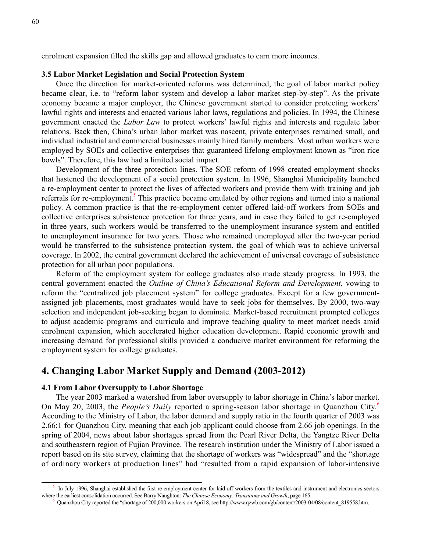enrolment expansion filled the skills gap and allowed graduates to earn more incomes.

#### **3.5 Labor Market Legislation and Social Protection System**

Once the direction for market-oriented reforms was determined, the goal of labor market policy became clear, i.e. to "reform labor system and develop a labor market step-by-step". As the private economy became a major employer, the Chinese government started to consider protecting workers' lawful rights and interests and enacted various labor laws, regulations and policies. In 1994, the Chinese government enacted the *Labor Law* to protect workers' lawful rights and interests and regulate labor relations. Back then, China's urban labor market was nascent, private enterprises remained small, and individual industrial and commercial businesses mainly hired family members. Most urban workers were employed by SOEs and collective enterprises that guaranteed lifelong employment known as "iron rice bowls". Therefore, this law had a limited social impact.

Development of the three protection lines. The SOE reform of 1998 created employment shocks that hastened the development of a social protection system. In 1996, Shanghai Municipality launched a re-employment center to protect the lives of affected workers and provide them with training and job referrals for re-employment.<sup>5</sup> This practice became emulated by other regions and turned into a national policy. A common practice is that the re-employment center offered laid-off workers from SOEs and collective enterprises subsistence protection for three years, and in case they failed to get re-employed in three years, such workers would be transferred to the unemployment insurance system and entitled to unemployment insurance for two years. Those who remained unemployed after the two-year period would be transferred to the subsistence protection system, the goal of which was to achieve universal coverage. In 2002, the central government declared the achievement of universal coverage of subsistence protection for all urban poor populations.

Reform of the employment system for college graduates also made steady progress. In 1993, the central government enacted the *Outline of China's Educational Reform and Development*, vowing to reform the "centralized job placement system" for college graduates. Except for a few governmentassigned job placements, most graduates would have to seek jobs for themselves. By 2000, two-way selection and independent job-seeking began to dominate. Market-based recruitment prompted colleges to adjust academic programs and curricula and improve teaching quality to meet market needs amid enrolment expansion, which accelerated higher education development. Rapid economic growth and increasing demand for professional skills provided a conducive market environment for reforming the employment system for college graduates.

## **4. Changing Labor Market Supply and Demand (2003-2012)**

#### **4.1 From Labor Oversupply to Labor Shortage**

The year 2003 marked a watershed from labor oversupply to labor shortage in China's labor market. On May 20, 2003, the *People's Daily* reported a spring-season labor shortage in Quanzhou City.<sup>6</sup> According to the Ministry of Labor, the labor demand and supply ratio in the fourth quarter of 2003 was 2.66:1 for Quanzhou City, meaning that each job applicant could choose from 2.66 job openings. In the spring of 2004, news about labor shortages spread from the Pearl River Delta, the Yangtze River Delta and southeastern region of Fujian Province. The research institution under the Ministry of Labor issued a report based on its site survey, claiming that the shortage of workers was "widespread" and the "shortage of ordinary workers at production lines" had "resulted from a rapid expansion of labor-intensive

<sup>5</sup> In July 1996, Shanghai established the first re-employment center for laid-off workers from the textiles and instrument and electronics sectors where the earliest consolidation occurred. See Barry Naughton: *The Chinese Economy: Transitions and Growth*, page 165.

<sup>6</sup> Quanzhou City reported the "shortage of 200,000 workers on April 8, see http://www.qzwb.com/gb/content/2003-04/08/content\_819558.htm.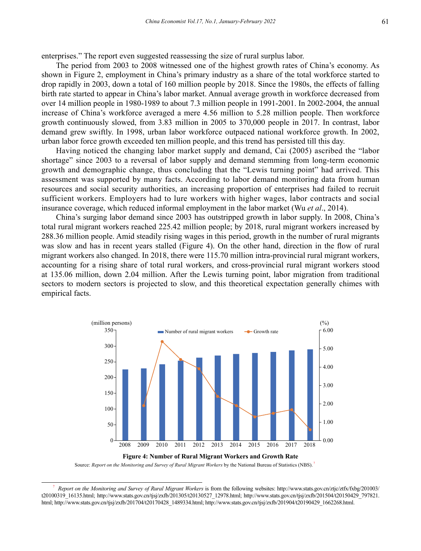enterprises." The report even suggested reassessing the size of rural surplus labor.

The period from 2003 to 2008 witnessed one of the highest growth rates of China's economy. As shown in Figure 2, employment in China's primary industry as a share of the total workforce started to drop rapidly in 2003, down a total of 160 million people by 2018. Since the 1980s, the effects of falling birth rate started to appear in China's labor market. Annual average growth in workforce decreased from over 14 million people in 1980-1989 to about 7.3 million people in 1991-2001. In 2002-2004, the annual increase of China's workforce averaged a mere 4.56 million to 5.28 million people. Then workforce growth continuously slowed, from 3.83 million in 2005 to 370,000 people in 2017. In contrast, labor demand grew swiftly. In 1998, urban labor workforce outpaced national workforce growth. In 2002, urban labor force growth exceeded ten million people, and this trend has persisted till this day.

Having noticed the changing labor market supply and demand, Cai (2005) ascribed the "labor shortage" since 2003 to a reversal of labor supply and demand stemming from long-term economic growth and demographic change, thus concluding that the "Lewis turning point" had arrived. This assessment was supported by many facts. According to labor demand monitoring data from human resources and social security authorities, an increasing proportion of enterprises had failed to recruit sufficient workers. Employers had to lure workers with higher wages, labor contracts and social insurance coverage, which reduced informal employment in the labor market (Wu *et al*., 2014).

China's surging labor demand since 2003 has outstripped growth in labor supply. In 2008, China's total rural migrant workers reached 225.42 million people; by 2018, rural migrant workers increased by 288.36 million people. Amid steadily rising wages in this period, growth in the number of rural migrants was slow and has in recent years stalled (Figure 4). On the other hand, direction in the flow of rural migrant workers also changed. In 2018, there were 115.70 million intra-provincial rural migrant workers, accounting for a rising share of total rural workers, and cross-provincial rural migrant workers stood at 135.06 million, down 2.04 million. After the Lewis turning point, labor migration from traditional sectors to modern sectors is projected to slow, and this theoretical expectation generally chimes with empirical facts.





Source: *Report on the Monitoring and Survey of Rural Migrant Workers* by the National Bureau of Statistics (NBS). <sup>7</sup>

<sup>7</sup> *Report on the Monitoring and Survey of Rural Migrant Workers* is from the following websites: http://www.stats.gov.cn/ztjc/ztfx/fxbg/201003/ t20100319\_16135.html; http://www.stats.gov.cn/tjsj/zxfb/201305/t20130527\_12978.html; http://www.stats.gov.cn/tjsj/zxfb/201504/t20150429\_797821. html; http://www.stats.gov.cn/tjsj/zxfb/201704/t20170428\_1489334.html; http://www.stats.gov.cn/tjsj/zxfb/201904/t20190429\_1662268.html.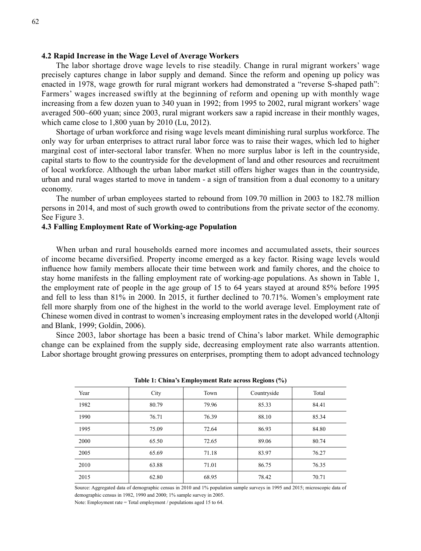#### **4.2 Rapid Increase in the Wage Level of Average Workers**

The labor shortage drove wage levels to rise steadily. Change in rural migrant workers' wage precisely captures change in labor supply and demand. Since the reform and opening up policy was enacted in 1978, wage growth for rural migrant workers had demonstrated a "reverse S-shaped path": Farmers' wages increased swiftly at the beginning of reform and opening up with monthly wage increasing from a few dozen yuan to 340 yuan in 1992; from 1995 to 2002, rural migrant workers' wage averaged 500~600 yuan; since 2003, rural migrant workers saw a rapid increase in their monthly wages, which came close to 1,800 yuan by 2010 (Lu, 2012).

Shortage of urban workforce and rising wage levels meant diminishing rural surplus workforce. The only way for urban enterprises to attract rural labor force was to raise their wages, which led to higher marginal cost of inter-sectoral labor transfer. When no more surplus labor is left in the countryside, capital starts to flow to the countryside for the development of land and other resources and recruitment of local workforce. Although the urban labor market still offers higher wages than in the countryside, urban and rural wages started to move in tandem - a sign of transition from a dual economy to a unitary economy.

The number of urban employees started to rebound from 109.70 million in 2003 to 182.78 million persons in 2014, and most of such growth owed to contributions from the private sector of the economy. See Figure 3.

#### **4.3 Falling Employment Rate of Working-age Population**

When urban and rural households earned more incomes and accumulated assets, their sources of income became diversified. Property income emerged as a key factor. Rising wage levels would influence how family members allocate their time between work and family chores, and the choice to stay home manifests in the falling employment rate of working-age populations. As shown in Table 1, the employment rate of people in the age group of 15 to 64 years stayed at around 85% before 1995 and fell to less than 81% in 2000. In 2015, it further declined to 70.71%. Women's employment rate fell more sharply from one of the highest in the world to the world average level. Employment rate of Chinese women dived in contrast to women's increasing employment rates in the developed world (Altonji and Blank, 1999; Goldin, 2006).

Since 2003, labor shortage has been a basic trend of China's labor market. While demographic change can be explained from the supply side, decreasing employment rate also warrants attention. Labor shortage brought growing pressures on enterprises, prompting them to adopt advanced technology

|      |       | -     | -<br>$\overline{\phantom{a}}$ |       |
|------|-------|-------|-------------------------------|-------|
| Year | City  | Town  | Countryside                   | Total |
| 1982 | 80.79 | 79.96 | 85.33                         | 84.41 |
| 1990 | 76.71 | 76.39 | 88.10                         | 85.34 |
| 1995 | 75.09 | 72.64 | 86.93                         | 84.80 |
| 2000 | 65.50 | 72.65 | 89.06                         | 80.74 |
| 2005 | 65.69 | 71.18 | 83.97                         | 76.27 |
| 2010 | 63.88 | 71.01 | 86.75                         | 76.35 |
| 2015 | 62.80 | 68.95 | 78.42                         | 70.71 |

| Table 1: China's Employment Rate across Regions (%) |  |  |
|-----------------------------------------------------|--|--|
|                                                     |  |  |

Source: Aggregated data of demographic census in 2010 and 1% population sample surveys in 1995 and 2015; microscopic data of demographic census in 1982, 1990 and 2000; 1% sample survey in 2005.

Note: Employment rate = Total employment / populations aged 15 to 64.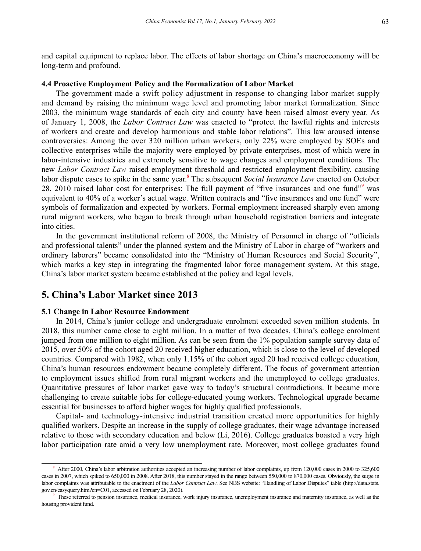and capital equipment to replace labor. The effects of labor shortage on China's macroeconomy will be long-term and profound.

#### **4.4 Proactive Employment Policy and the Formalization of Labor Market**

The government made a swift policy adjustment in response to changing labor market supply and demand by raising the minimum wage level and promoting labor market formalization. Since 2003, the minimum wage standards of each city and county have been raised almost every year. As of January 1, 2008, the *Labor Contract Law* was enacted to "protect the lawful rights and interests of workers and create and develop harmonious and stable labor relations". This law aroused intense controversies: Among the over 320 million urban workers, only 22% were employed by SOEs and collective enterprises while the majority were employed by private enterprises, most of which were in labor-intensive industries and extremely sensitive to wage changes and employment conditions. The new *Labor Contract Law* raised employment threshold and restricted employment flexibility, causing labor dispute cases to spike in the same year.<sup>8</sup> The subsequent *Social Insurance Law* enacted on October 28, 2010 raised labor cost for enterprises: The full payment of "five insurances and one fund"<sup>9</sup> was equivalent to 40% of a worker's actual wage. Written contracts and "five insurances and one fund" were symbols of formalization and expected by workers. Formal employment increased sharply even among rural migrant workers, who began to break through urban household registration barriers and integrate into cities.

In the government institutional reform of 2008, the Ministry of Personnel in charge of "officials and professional talents" under the planned system and the Ministry of Labor in charge of "workers and ordinary laborers" became consolidated into the "Ministry of Human Resources and Social Security", which marks a key step in integrating the fragmented labor force management system. At this stage, China's labor market system became established at the policy and legal levels.

## **5. China's Labor Market since 2013**

#### **5.1 Change in Labor Resource Endowment**

In 2014, China's junior college and undergraduate enrolment exceeded seven million students. In 2018, this number came close to eight million. In a matter of two decades, China's college enrolment jumped from one million to eight million. As can be seen from the 1% population sample survey data of 2015, over 50% of the cohort aged 20 received higher education, which is close to the level of developed countries. Compared with 1982, when only 1.15% of the cohort aged 20 had received college education, China's human resources endowment became completely different. The focus of government attention to employment issues shifted from rural migrant workers and the unemployed to college graduates. Quantitative pressures of labor market gave way to today's structural contradictions. It became more challenging to create suitable jobs for college-educated young workers. Technological upgrade became essential for businesses to afford higher wages for highly qualified professionals.

Capital- and technology-intensive industrial transition created more opportunities for highly qualified workers. Despite an increase in the supply of college graduates, their wage advantage increased relative to those with secondary education and below (Li, 2016). College graduates boasted a very high labor participation rate amid a very low unemployment rate. Moreover, most college graduates found

<sup>&</sup>lt;sup>8</sup> After 2000, China's labor arbitration authorities accepted an increasing number of labor complaints, up from 120,000 cases in 2000 to 325,600 cases in 2007, which spiked to 650,000 in 2008. After 2018, this number stayed in the range between 550,000 to 870,000 cases. Obviously, the surge in labor complaints was attributable to the enactment of the *Labor Contract Law*. See NBS website: "Handling of Labor Disputes" table (http://data.stats. gov.cn/easyquery.htm?cn=C01, accessed on February 28, 2020).

These referred to pension insurance, medical insurance, work injury insurance, unemployment insurance and maternity insurance, as well as the housing provident fund.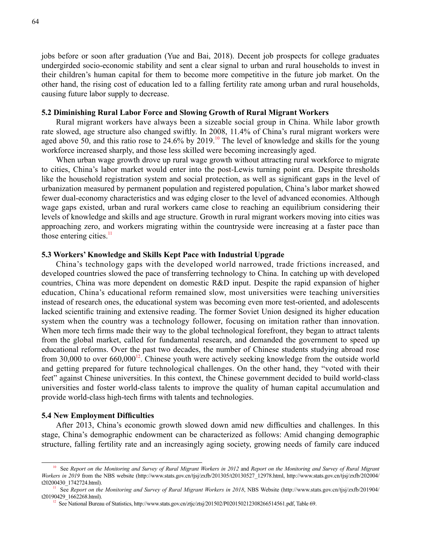jobs before or soon after graduation (Yue and Bai, 2018). Decent job prospects for college graduates undergirded socio-economic stability and sent a clear signal to urban and rural households to invest in their children's human capital for them to become more competitive in the future job market. On the other hand, the rising cost of education led to a falling fertility rate among urban and rural households, causing future labor supply to decrease.

#### **5.2 Diminishing Rural Labor Force and Slowing Growth of Rural Migrant Workers**

Rural migrant workers have always been a sizeable social group in China. While labor growth rate slowed, age structure also changed swiftly. In 2008, 11.4% of China's rural migrant workers were aged above 50, and this ratio rose to 24.6% by 2019.<sup>10</sup> The level of knowledge and skills for the young workforce increased sharply, and those less skilled were becoming increasingly aged.

When urban wage growth drove up rural wage growth without attracting rural workforce to migrate to cities, China's labor market would enter into the post-Lewis turning point era. Despite thresholds like the household registration system and social protection, as well as significant gaps in the level of urbanization measured by permanent population and registered population, China's labor market showed fewer dual-economy characteristics and was edging closer to the level of advanced economies. Although wage gaps existed, urban and rural workers came close to reaching an equilibrium considering their levels of knowledge and skills and age structure. Growth in rural migrant workers moving into cities was approaching zero, and workers migrating within the countryside were increasing at a faster pace than those entering cities. $\frac{11}{11}$ 

#### **5.3 Workers' Knowledge and Skills Kept Pace with Industrial Upgrade**

China's technology gaps with the developed world narrowed, trade frictions increased, and developed countries slowed the pace of transferring technology to China. In catching up with developed countries, China was more dependent on domestic R&D input. Despite the rapid expansion of higher education, China's educational reform remained slow, most universities were teaching universities instead of research ones, the educational system was becoming even more test-oriented, and adolescents lacked scientific training and extensive reading. The former Soviet Union designed its higher education system when the country was a technology follower, focusing on imitation rather than innovation. When more tech firms made their way to the global technological forefront, they began to attract talents from the global market, called for fundamental research, and demanded the government to speed up educational reforms. Over the past two decades, the number of Chinese students studying abroad rose from 30,000 to over  $660,000^{12}$ . Chinese youth were actively seeking knowledge from the outside world and getting prepared for future technological challenges. On the other hand, they "voted with their feet" against Chinese universities. In this context, the Chinese government decided to build world-class universities and foster world-class talents to improve the quality of human capital accumulation and provide world-class high-tech firms with talents and technologies.

#### **5.4 New Employment Difficulties**

After 2013, China's economic growth slowed down amid new difficulties and challenges. In this stage, China's demographic endowment can be characterized as follows: Amid changing demographic structure, falling fertility rate and an increasingly aging society, growing needs of family care induced

<sup>10</sup> See *Report on the Monitoring and Survey of Rural Migrant Workers in 2012* and *Report on the Monitoring and Survey of Rural Migrant Workers in 2019* from the NBS website (http://www.stats.gov.cn/tjsj/zxfb/201305/t20130527\_12978.html, http://www.stats.gov.cn/tjsj/zxfb/202004/ t20200430\_1742724.html).

<sup>&</sup>lt;sup>11</sup> See *Report on the Monitoring and Survey of Rural Migrant Workers in 2018*, NBS Website (http://www.stats.gov.cn/tjsj/zxfb/201904/ t20190429\_1662268.html).

<sup>&</sup>lt;sup>12</sup> See National Bureau of Statistics, http://www.stats.gov.cn/ztjc/ztsj/201502/P020150212308266514561.pdf, Table 69.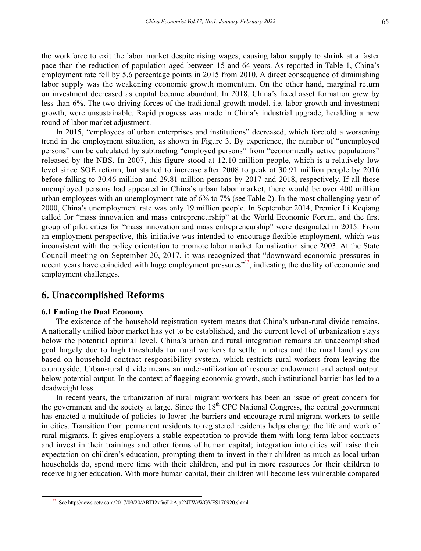the workforce to exit the labor market despite rising wages, causing labor supply to shrink at a faster pace than the reduction of population aged between 15 and 64 years. As reported in Table 1, China's employment rate fell by 5.6 percentage points in 2015 from 2010. A direct consequence of diminishing labor supply was the weakening economic growth momentum. On the other hand, marginal return on investment decreased as capital became abundant. In 2018, China's fixed asset formation grew by less than 6%. The two driving forces of the traditional growth model, i.e. labor growth and investment growth, were unsustainable. Rapid progress was made in China's industrial upgrade, heralding a new round of labor market adjustment.

In 2015, "employees of urban enterprises and institutions" decreased, which foretold a worsening trend in the employment situation, as shown in Figure 3. By experience, the number of "unemployed persons" can be calculated by subtracting "employed persons" from "economically active populations" released by the NBS. In 2007, this figure stood at 12.10 million people, which is a relatively low level since SOE reform, but started to increase after 2008 to peak at 30.91 million people by 2016 before falling to 30.46 million and 29.81 million persons by 2017 and 2018, respectively. If all those unemployed persons had appeared in China's urban labor market, there would be over 400 million urban employees with an unemployment rate of 6% to 7% (see Table 2). In the most challenging year of 2000, China's unemployment rate was only 19 million people. In September 2014, Premier Li Keqiang called for "mass innovation and mass entrepreneurship" at the World Economic Forum, and the first group of pilot cities for "mass innovation and mass entrepreneurship" were designated in 2015. From an employment perspective, this initiative was intended to encourage flexible employment, which was inconsistent with the policy orientation to promote labor market formalization since 2003. At the State Council meeting on September 20, 2017, it was recognized that "downward economic pressures in recent years have coincided with huge employment pressures"<sup>13</sup>, indicating the duality of economic and employment challenges.

## **6. Unaccomplished Reforms**

#### **6.1 Ending the Dual Economy**

The existence of the household registration system means that China's urban-rural divide remains. A nationally unified labor market has yet to be established, and the current level of urbanization stays below the potential optimal level. China's urban and rural integration remains an unaccomplished goal largely due to high thresholds for rural workers to settle in cities and the rural land system based on household contract responsibility system, which restricts rural workers from leaving the countryside. Urban-rural divide means an under-utilization of resource endowment and actual output below potential output. In the context of flagging economic growth, such institutional barrier has led to a deadweight loss.

In recent years, the urbanization of rural migrant workers has been an issue of great concern for the government and the society at large. Since the  $18<sup>th</sup>$  CPC National Congress, the central government has enacted a multitude of policies to lower the barriers and encourage rural migrant workers to settle in cities. Transition from permanent residents to registered residents helps change the life and work of rural migrants. It gives employers a stable expectation to provide them with long-term labor contracts and invest in their trainings and other forms of human capital; integration into cities will raise their expectation on children's education, prompting them to invest in their children as much as local urban households do, spend more time with their children, and put in more resources for their children to receive higher education. With more human capital, their children will become less vulnerable compared

<sup>13</sup> See http://news.cctv.com/2017/09/20/ARTI2xfa6LkAja2NTWrWGVFS170920.shtml.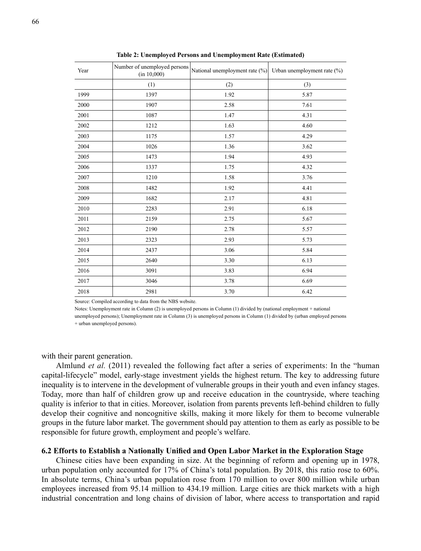| Year | Number of unemployed persons<br>(in 10,000) | National unemployment rate (%) | Urban unemployment rate (%) |
|------|---------------------------------------------|--------------------------------|-----------------------------|
|      | (1)                                         | (2)                            | (3)                         |
| 1999 | 1397                                        | 1.92                           | 5.87                        |
| 2000 | 1907                                        | 2.58                           | 7.61                        |
| 2001 | 1087                                        | 1.47                           | 4.31                        |
| 2002 | 1212                                        | 1.63                           | 4.60                        |
| 2003 | 1175                                        | 1.57                           | 4.29                        |
| 2004 | 1026                                        | 1.36                           | 3.62                        |
| 2005 | 1473                                        | 1.94                           | 4.93                        |
| 2006 | 1337                                        | 1.75                           | 4.32                        |
| 2007 | 1210                                        | 1.58                           | 3.76                        |
| 2008 | 1482                                        | 1.92                           | 4.41                        |
| 2009 | 1682                                        | 2.17                           | 4.81                        |
| 2010 | 2283                                        | 2.91                           | 6.18                        |
| 2011 | 2159                                        | 2.75                           | 5.67                        |
| 2012 | 2190                                        | 2.78                           | 5.57                        |
| 2013 | 2323                                        | 2.93                           | 5.73                        |
| 2014 | 2437                                        | 3.06                           | 5.84                        |
| 2015 | 2640                                        | 3.30                           | 6.13                        |
| 2016 | 3091                                        | 3.83                           | 6.94                        |
| 2017 | 3046                                        | 3.78                           | 6.69                        |
| 2018 | 2981                                        | 3.70                           | 6.42                        |

**Table 2: Unemployed Persons and Unemployment Rate (Estimated)** 

Source: Compiled according to data from the NBS website.

Notes: Unemployment rate in Column (2) is unemployed persons in Column (1) divided by (national employment + national unemployed persons); Unemployment rate in Column (3) is unemployed persons in Column (1) divided by (urban employed persons + urban unemployed persons).

with their parent generation.

Almlund *et al.* (2011) revealed the following fact after a series of experiments: In the "human capital-lifecycle" model, early-stage investment yields the highest return. The key to addressing future inequality is to intervene in the development of vulnerable groups in their youth and even infancy stages. Today, more than half of children grow up and receive education in the countryside, where teaching quality is inferior to that in cities. Moreover, isolation from parents prevents left-behind children to fully develop their cognitive and noncognitive skills, making it more likely for them to become vulnerable groups in the future labor market. The government should pay attention to them as early as possible to be responsible for future growth, employment and people's welfare.

#### **6.2 Efforts to Establish a Nationally Unified and Open Labor Market in the Exploration Stage**

Chinese cities have been expanding in size. At the beginning of reform and opening up in 1978, urban population only accounted for 17% of China's total population. By 2018, this ratio rose to 60%. In absolute terms, China's urban population rose from 170 million to over 800 million while urban employees increased from 95.14 million to 434.19 million. Large cities are thick markets with a high industrial concentration and long chains of division of labor, where access to transportation and rapid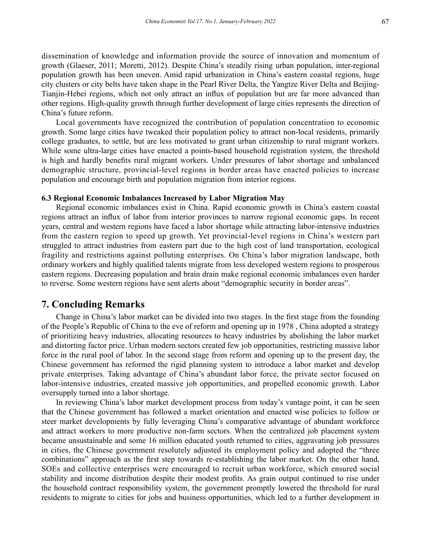dissemination of knowledge and information provide the source of innovation and momentum of growth (Glaeser, 2011; Moretti, 2012). Despite China's steadily rising urban population, inter-regional population growth has been uneven. Amid rapid urbanization in China's eastern coastal regions, huge city clusters or city belts have taken shape in the Pearl River Delta, the Yangtze River Delta and Beijing-Tianjin-Hebei regions, which not only attract an influx of population but are far more advanced than other regions. High-quality growth through further development of large cities represents the direction of China's future reform.

Local governments have recognized the contribution of population concentration to economic growth. Some large cities have tweaked their population policy to attract non-local residents, primarily college graduates, to settle, but are less motivated to grant urban citizenship to rural migrant workers. While some ultra-large cities have enacted a points-based household registration system, the threshold is high and hardly benefits rural migrant workers. Under pressures of labor shortage and unbalanced demographic structure, provincial-level regions in border areas have enacted policies to increase population and encourage birth and population migration from interior regions.

#### **6.3 Regional Economic Imbalances Increased by Labor Migration May**

Regional economic imbalances exist in China. Rapid economic growth in China's eastern coastal regions attract an influx of labor from interior provinces to narrow regional economic gaps. In recent years, central and western regions have faced a labor shortage while attracting labor-intensive industries from the eastern region to speed up growth. Yet provincial-level regions in China's western part struggled to attract industries from eastern part due to the high cost of land transportation, ecological fragility and restrictions against polluting enterprises. On China's labor migration landscape, both ordinary workers and highly qualified talents migrate from less developed western regions to prosperous eastern regions. Decreasing population and brain drain make regional economic imbalances even harder to reverse. Some western regions have sent alerts about "demographic security in border areas".

## **7. Concluding Remarks**

Change in China's labor market can be divided into two stages. In the first stage from the founding of the People's Republic of China to the eve of reform and opening up in 1978 , China adopted a strategy of prioritizing heavy industries, allocating resources to heavy industries by abolishing the labor market and distorting factor price. Urban modern sectors created few job opportunities, restricting massive labor force in the rural pool of labor. In the second stage from reform and opening up to the present day, the Chinese government has reformed the rigid planning system to introduce a labor market and develop private enterprises. Taking advantage of China's abundant labor force, the private sector focused on labor-intensive industries, created massive job opportunities, and propelled economic growth. Labor oversupply turned into a labor shortage.

In reviewing China's labor market development process from today's vantage point, it can be seen that the Chinese government has followed a market orientation and enacted wise policies to follow or steer market developments by fully leveraging China's comparative advantage of abundant workforce and attract workers to more productive non-farm sectors. When the centralized job placement system became unsustainable and some 16 million educated youth returned to cities, aggravating job pressures in cities, the Chinese government resolutely adjusted its employment policy and adopted the "three combinations" approach as the first step towards re-establishing the labor market. On the other hand, SOEs and collective enterprises were encouraged to recruit urban workforce, which ensured social stability and income distribution despite their modest profits. As grain output continued to rise under the household contract responsibility system, the government promptly lowered the threshold for rural residents to migrate to cities for jobs and business opportunities, which led to a further development in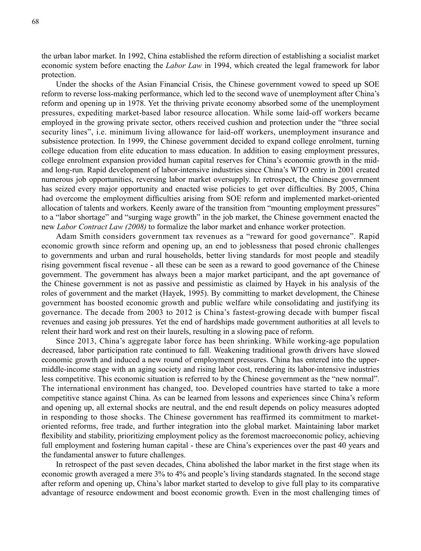the urban labor market. In 1992, China established the reform direction of establishing a socialist market economic system before enacting the *Labor Law* in 1994, which created the legal framework for labor protection.

Under the shocks of the Asian Financial Crisis, the Chinese government vowed to speed up SOE reform to reverse loss-making performance, which led to the second wave of unemployment after China's reform and opening up in 1978. Yet the thriving private economy absorbed some of the unemployment pressures, expediting market-based labor resource allocation. While some laid-off workers became employed in the growing private sector, others received cushion and protection under the "three social security lines", i.e. minimum living allowance for laid-off workers, unemployment insurance and subsistence protection. In 1999, the Chinese government decided to expand college enrolment, turning college education from elite education to mass education. In addition to easing employment pressures, college enrolment expansion provided human capital reserves for China's economic growth in the midand long-run. Rapid development of labor-intensive industries since China's WTO entry in 2001 created numerous job opportunities, reversing labor market oversupply. In retrospect, the Chinese government has seized every major opportunity and enacted wise policies to get over difficulties. By 2005, China had overcome the employment difficulties arising from SOE reform and implemented market-oriented allocation of talents and workers. Keenly aware of the transition from "mounting employment pressures" to a "labor shortage" and "surging wage growth" in the job market, the Chinese government enacted the new *Labor Contract Law (2008)* to formalize the labor market and enhance worker protection.

Adam Smith considers government tax revenues as a "reward for good governance". Rapid economic growth since reform and opening up, an end to joblessness that posed chronic challenges to governments and urban and rural households, better living standards for most people and steadily rising government fiscal revenue - all these can be seen as a reward to good governance of the Chinese government. The government has always been a major market participant, and the apt governance of the Chinese government is not as passive and pessimistic as claimed by Hayek in his analysis of the roles of government and the market (Hayek, 1995). By committing to market development, the Chinese government has boosted economic growth and public welfare while consolidating and justifying its governance. The decade from 2003 to 2012 is China's fastest-growing decade with bumper fiscal revenues and easing job pressures. Yet the end of hardships made government authorities at all levels to relent their hard work and rest on their laurels, resulting in a slowing pace of reform.

Since 2013, China's aggregate labor force has been shrinking. While working-age population decreased, labor participation rate continued to fall. Weakening traditional growth drivers have slowed economic growth and induced a new round of employment pressures. China has entered into the uppermiddle-income stage with an aging society and rising labor cost, rendering its labor-intensive industries less competitive. This economic situation is referred to by the Chinese government as the "new normal". The international environment has changed, too. Developed countries have started to take a more competitive stance against China. As can be learned from lessons and experiences since China's reform and opening up, all external shocks are neutral, and the end result depends on policy measures adopted in responding to those shocks. The Chinese government has reaffirmed its commitment to marketoriented reforms, free trade, and further integration into the global market. Maintaining labor market flexibility and stability, prioritizing employment policy as the foremost macroeconomic policy, achieving full employment and fostering human capital - these are China's experiences over the past 40 years and the fundamental answer to future challenges.

In retrospect of the past seven decades, China abolished the labor market in the first stage when its economic growth averaged a mere 3% to 4% and people's living standards stagnated. In the second stage after reform and opening up, China's labor market started to develop to give full play to its comparative advantage of resource endowment and boost economic growth. Even in the most challenging times of